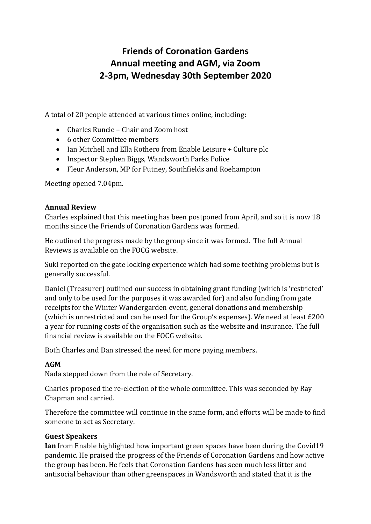# **Friends of Coronation Gardens Annual meeting and AGM, via Zoom 2-3pm, Wednesday 30th September 2020**

A total of 20 people attended at various times online, including:

- Charles Runcie Chair and Zoom host
- 6 other Committee members
- Ian Mitchell and Ella Rothero from Enable Leisure + Culture plc
- Inspector Stephen Biggs, Wandsworth Parks Police
- Fleur Anderson, MP for Putney, Southfields and Roehampton

Meeting opened 7.04pm.

### **Annual Review**

Charles explained that this meeting has been postponed from April, and so it is now 18 months since the Friends of Coronation Gardens was formed.

He outlined the progress made by the group since it was formed. The full Annual Reviews is available on the FOCG website.

Suki reported on the gate locking experience which had some teething problems but is generally successful.

Daniel (Treasurer) outlined our success in obtaining grant funding (which is 'restricted' and only to be used for the purposes it was awarded for) and also funding from gate receipts for the Winter Wandergarden event, general donations and membership (which is unrestricted and can be used for the Group's expenses). We need at least £200 a year for running costs of the organisation such as the website and insurance. The full financial review is available on the FOCG website.

Both Charles and Dan stressed the need for more paying members.

## **AGM**

Nada stepped down from the role of Secretary.

Charles proposed the re-election of the whole committee. This was seconded by Ray Chapman and carried.

Therefore the committee will continue in the same form, and efforts will be made to find someone to act as Secretary.

## **Guest Speakers**

**Ian** from Enable highlighted how important green spaces have been during the Covid19 pandemic. He praised the progress of the Friends of Coronation Gardens and how active the group has been. He feels that Coronation Gardens has seen much less litter and antisocial behaviour than other greenspaces in Wandsworth and stated that it is the